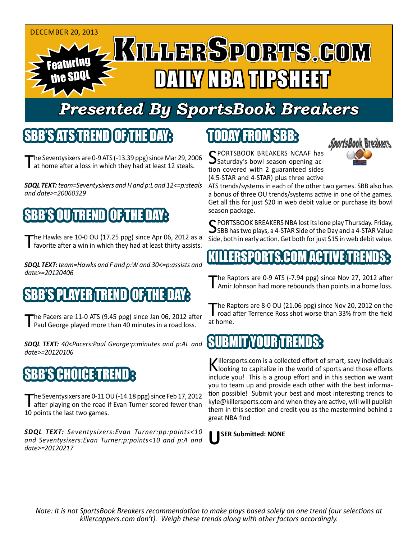#### DECEMBER 20, 2013

Featuring the SDQL

# L KILLERSPORTS.GOM DAN DAGA TILISHEET

#### *Presented By SportsBook Breakers*

#### SBB'S ATSTEHEN

The Seventysixers are 0-9 ATS (-13.39 ppg) since Mar 29, 2006 I at home after a loss in which they had at least 12 steals.

*SDQL TEXT: team=Seventysixers and H and p:L and 12<=p:steals and date>=20060329*

#### 'S OU TREND LOFTHE D

The Hawks are 10-0 OU (17.25 ppg) since Apr 06, 2012 as a favorite after a win in which they had at least thirty assists.

*SDQL TEXT: team=Hawks and F and p:W and 30<=p:assists and date>=20120406*

#### E BITHE PLAY

The Pacers are 11-0 ATS (9.45 ppg) since Jan 06, 2012 after<br>
Paul George played more than 40 minutes in a road loss.

*SDQL TEXT: 40<Pacers:Paul George:p:minutes and p:AL and date>=20120106*

#### SBB'S CHOICE TREND

The Seventysixers are 0-11 OU (-14.18 ppg) since Feb 17, 2012<br>after playing on the road if Evan Turner scored fewer than 10 points the last two games.

*SDQL TEXT: Seventysixers:Evan Turner:pp:points<10 and Seventysixers:Evan Turner:p:points<10 and p:A and date>=20120217*

### TODAY FROM SBB:



SPORTSBOOK BREAKERS NCAAF has<br>Saturday's bowl season opening action covered with 2 guaranteed sides (4.5-STAR and 4-STAR) plus three active

ATS trends/systems in each of the other two games. SBB also has a bonus of three OU trends/systems active in one of the games. Get all this for just \$20 in web debit value or purchase its bowl season package.

SPORTSBOOK BREAKERS NBA lost its lone play Thursday. Friday,<br>SBB has two plays, a 4-STAR Side of the Day and a 4-STAR Value Side, both in early action. Get both for just \$15 in web debit value.

#### ERSPORTS.COM ACT

The Raptors are 0-9 ATS (-7.94 ppg) since Nov 27, 2012 after<br>Amir Johnson had more rebounds than points in a home loss.

The Raptors are 8-0 OU (21.06 ppg) since Nov 20, 2012 on the<br>road after Terrence Ross shot worse than 33% from the field at home.

#### **SUBMITYOUR TREN**

Killersports.com is a collected effort of smart, savy individuals<br>Nooking to capitalize in the world of sports and those efforts include you! This is a group effort and in this section we want you to team up and provide each other with the best information possible! Submit your best and most interesting trends to kyle@killersports.com and when they are active, will will publish them in this section and credit you as the mastermind behind a great NBA find



*Note: It is not SportsBook Breakers recommendation to make plays based solely on one trend (our selections at killercappers.com don't). Weigh these trends along with other factors accordingly.*